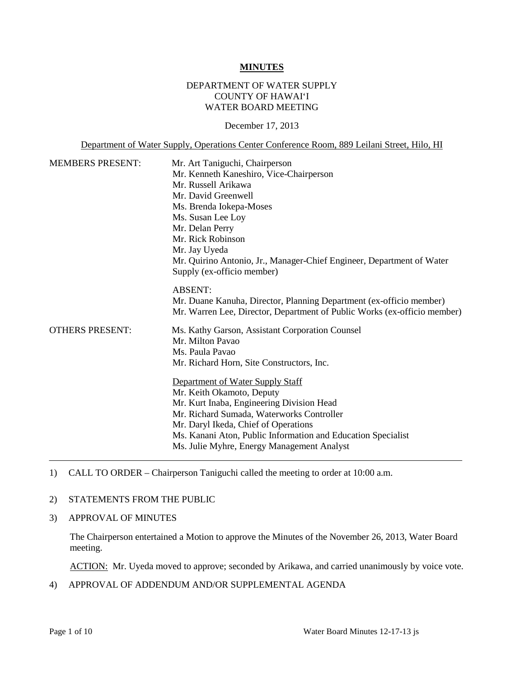#### **MINUTES**

### DEPARTMENT OF WATER SUPPLY COUNTY OF HAWAI'I WATER BOARD MEETING

December 17, 2013

Department of Water Supply, Operations Center Conference Room, 889 Leilani Street, Hilo, HI

| <b>MEMBERS PRESENT:</b> | Mr. Art Taniguchi, Chairperson<br>Mr. Kenneth Kaneshiro, Vice-Chairperson<br>Mr. Russell Arikawa<br>Mr. David Greenwell<br>Ms. Brenda Iokepa-Moses<br>Ms. Susan Lee Loy<br>Mr. Delan Perry<br>Mr. Rick Robinson<br>Mr. Jay Uyeda<br>Mr. Quirino Antonio, Jr., Manager-Chief Engineer, Department of Water                              |  |
|-------------------------|----------------------------------------------------------------------------------------------------------------------------------------------------------------------------------------------------------------------------------------------------------------------------------------------------------------------------------------|--|
| <b>OTHERS PRESENT:</b>  | Supply (ex-officio member)<br><b>ABSENT:</b><br>Mr. Duane Kanuha, Director, Planning Department (ex-officio member)<br>Mr. Warren Lee, Director, Department of Public Works (ex-officio member)<br>Ms. Kathy Garson, Assistant Corporation Counsel<br>Mr. Milton Pavao<br>Ms. Paula Pavao<br>Mr. Richard Horn, Site Constructors, Inc. |  |
|                         | Department of Water Supply Staff<br>Mr. Keith Okamoto, Deputy<br>Mr. Kurt Inaba, Engineering Division Head<br>Mr. Richard Sumada, Waterworks Controller<br>Mr. Daryl Ikeda, Chief of Operations<br>Ms. Kanani Aton, Public Information and Education Specialist<br>Ms. Julie Myhre, Energy Management Analyst                          |  |

1) CALL TO ORDER – Chairperson Taniguchi called the meeting to order at 10:00 a.m.

#### 2) STATEMENTS FROM THE PUBLIC

3) APPROVAL OF MINUTES

The Chairperson entertained a Motion to approve the Minutes of the November 26, 2013, Water Board meeting.

ACTION: Mr. Uyeda moved to approve; seconded by Arikawa, and carried unanimously by voice vote.

4) APPROVAL OF ADDENDUM AND/OR SUPPLEMENTAL AGENDA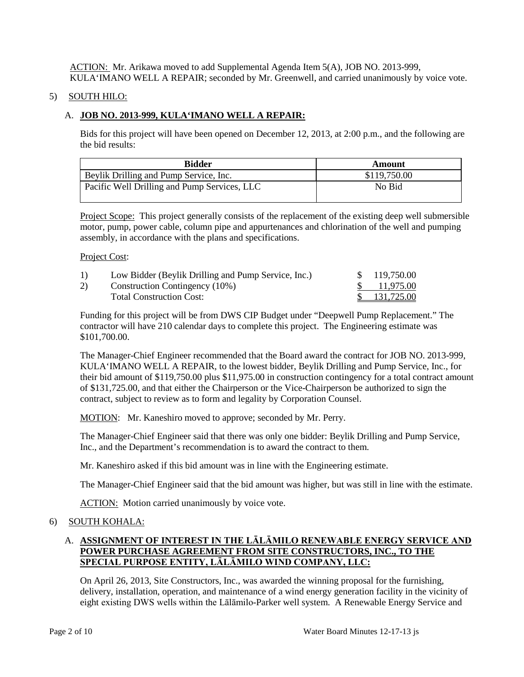ACTION: Mr. Arikawa moved to add Supplemental Agenda Item 5(A), JOB NO. 2013-999, KULA'IMANO WELL A REPAIR; seconded by Mr. Greenwell, and carried unanimously by voice vote.

### 5) SOUTH HILO:

## A. **JOB NO. 2013-999, KULA'IMANO WELL A REPAIR:**

Bids for this project will have been opened on December 12, 2013, at 2:00 p.m., and the following are the bid results:

| <b>Bidder</b>                                | Amount       |
|----------------------------------------------|--------------|
| Beylik Drilling and Pump Service, Inc.       | \$119,750.00 |
| Pacific Well Drilling and Pump Services, LLC | No Bid       |

Project Scope: This project generally consists of the replacement of the existing deep well submersible motor, pump, power cable, column pipe and appurtenances and chlorination of the well and pumping assembly, in accordance with the plans and specifications.

#### Project Cost:

| 1) | Low Bidder (Beylik Drilling and Pump Service, Inc.) | \$119,750.00 |
|----|-----------------------------------------------------|--------------|
| 2) | Construction Contingency (10%)                      | \$ 11.975.00 |
|    | <b>Total Construction Cost:</b>                     | \$131,725.00 |

Funding for this project will be from DWS CIP Budget under "Deepwell Pump Replacement." The contractor will have 210 calendar days to complete this project. The Engineering estimate was \$101,700.00.

The Manager-Chief Engineer recommended that the Board award the contract for JOB NO. 2013-999, KULA'IMANO WELL A REPAIR, to the lowest bidder, Beylik Drilling and Pump Service, Inc., for their bid amount of \$119,750.00 plus \$11,975.00 in construction contingency for a total contract amount of \$131,725.00, and that either the Chairperson or the Vice-Chairperson be authorized to sign the contract, subject to review as to form and legality by Corporation Counsel.

MOTION: Mr. Kaneshiro moved to approve; seconded by Mr. Perry.

The Manager-Chief Engineer said that there was only one bidder: Beylik Drilling and Pump Service, Inc., and the Department's recommendation is to award the contract to them.

Mr. Kaneshiro asked if this bid amount was in line with the Engineering estimate.

The Manager-Chief Engineer said that the bid amount was higher, but was still in line with the estimate.

ACTION: Motion carried unanimously by voice vote.

### 6) SOUTH KOHALA:

# A. **ASSIGNMENT OF INTEREST IN THE LĀLĀMILO RENEWABLE ENERGY SERVICE AND POWER PURCHASE AGREEMENT FROM SITE CONSTRUCTORS, INC., TO THE SPECIAL PURPOSE ENTITY, LĀLĀMILO WIND COMPANY, LLC:**

On April 26, 2013, Site Constructors, Inc., was awarded the winning proposal for the furnishing, delivery, installation, operation, and maintenance of a wind energy generation facility in the vicinity of eight existing DWS wells within the Lālāmilo-Parker well system. A Renewable Energy Service and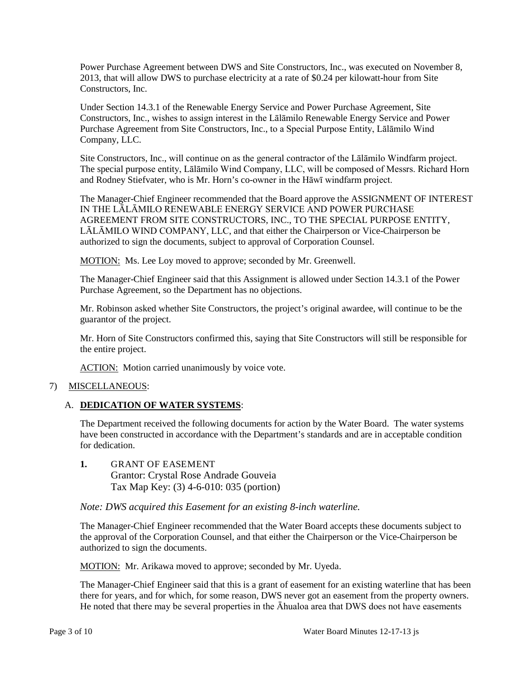Power Purchase Agreement between DWS and Site Constructors, Inc., was executed on November 8, 2013, that will allow DWS to purchase electricity at a rate of \$0.24 per kilowatt-hour from Site Constructors, Inc.

Under Section 14.3.1 of the Renewable Energy Service and Power Purchase Agreement, Site Constructors, Inc., wishes to assign interest in the Lālāmilo Renewable Energy Service and Power Purchase Agreement from Site Constructors, Inc., to a Special Purpose Entity, Lālāmilo Wind Company, LLC.

Site Constructors, Inc., will continue on as the general contractor of the Lālāmilo Windfarm project. The special purpose entity, Lālāmilo Wind Company, LLC, will be composed of Messrs. Richard Horn and Rodney Stiefvater, who is Mr. Horn's co-owner in the Hāwī windfarm project.

The Manager-Chief Engineer recommended that the Board approve the ASSIGNMENT OF INTEREST IN THE LĀLĀMILO RENEWABLE ENERGY SERVICE AND POWER PURCHASE AGREEMENT FROM SITE CONSTRUCTORS, INC., TO THE SPECIAL PURPOSE ENTITY, LĀLĀMILO WIND COMPANY, LLC, and that either the Chairperson or Vice-Chairperson be authorized to sign the documents, subject to approval of Corporation Counsel.

MOTION: Ms. Lee Loy moved to approve; seconded by Mr. Greenwell.

The Manager-Chief Engineer said that this Assignment is allowed under Section 14.3.1 of the Power Purchase Agreement, so the Department has no objections.

Mr. Robinson asked whether Site Constructors, the project's original awardee, will continue to be the guarantor of the project.

Mr. Horn of Site Constructors confirmed this, saying that Site Constructors will still be responsible for the entire project.

ACTION: Motion carried unanimously by voice vote.

### 7) MISCELLANEOUS:

# A. **DEDICATION OF WATER SYSTEMS**:

The Department received the following documents for action by the Water Board. The water systems have been constructed in accordance with the Department's standards and are in acceptable condition for dedication.

**1.** GRANT OF EASEMENT Grantor: Crystal Rose Andrade Gouveia Tax Map Key: (3) 4-6-010: 035 (portion)

### *Note: DWS acquired this Easement for an existing 8-inch waterline.*

The Manager-Chief Engineer recommended that the Water Board accepts these documents subject to the approval of the Corporation Counsel, and that either the Chairperson or the Vice-Chairperson be authorized to sign the documents.

MOTION: Mr. Arikawa moved to approve; seconded by Mr. Uyeda.

The Manager-Chief Engineer said that this is a grant of easement for an existing waterline that has been there for years, and for which, for some reason, DWS never got an easement from the property owners. He noted that there may be several properties in the Āhualoa area that DWS does not have easements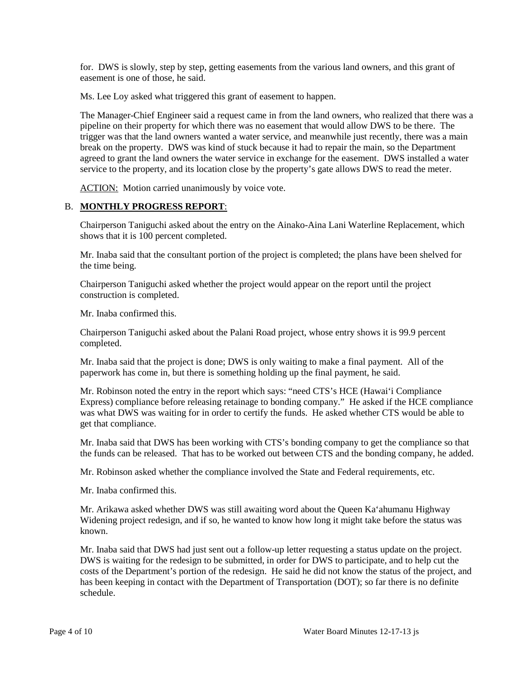for. DWS is slowly, step by step, getting easements from the various land owners, and this grant of easement is one of those, he said.

Ms. Lee Loy asked what triggered this grant of easement to happen.

The Manager-Chief Engineer said a request came in from the land owners, who realized that there was a pipeline on their property for which there was no easement that would allow DWS to be there. The trigger was that the land owners wanted a water service, and meanwhile just recently, there was a main break on the property. DWS was kind of stuck because it had to repair the main, so the Department agreed to grant the land owners the water service in exchange for the easement. DWS installed a water service to the property, and its location close by the property's gate allows DWS to read the meter.

ACTION: Motion carried unanimously by voice vote.

### B. **MONTHLY PROGRESS REPORT**:

Chairperson Taniguchi asked about the entry on the Ainako-Aina Lani Waterline Replacement, which shows that it is 100 percent completed.

Mr. Inaba said that the consultant portion of the project is completed; the plans have been shelved for the time being.

Chairperson Taniguchi asked whether the project would appear on the report until the project construction is completed.

Mr. Inaba confirmed this.

Chairperson Taniguchi asked about the Palani Road project, whose entry shows it is 99.9 percent completed.

Mr. Inaba said that the project is done; DWS is only waiting to make a final payment. All of the paperwork has come in, but there is something holding up the final payment, he said.

Mr. Robinson noted the entry in the report which says: "need CTS's HCE (Hawai'i Compliance Express) compliance before releasing retainage to bonding company." He asked if the HCE compliance was what DWS was waiting for in order to certify the funds. He asked whether CTS would be able to get that compliance.

Mr. Inaba said that DWS has been working with CTS's bonding company to get the compliance so that the funds can be released. That has to be worked out between CTS and the bonding company, he added.

Mr. Robinson asked whether the compliance involved the State and Federal requirements, etc.

Mr. Inaba confirmed this.

Mr. Arikawa asked whether DWS was still awaiting word about the Queen Ka'ahumanu Highway Widening project redesign, and if so, he wanted to know how long it might take before the status was known.

Mr. Inaba said that DWS had just sent out a follow-up letter requesting a status update on the project. DWS is waiting for the redesign to be submitted, in order for DWS to participate, and to help cut the costs of the Department's portion of the redesign. He said he did not know the status of the project, and has been keeping in contact with the Department of Transportation (DOT); so far there is no definite schedule.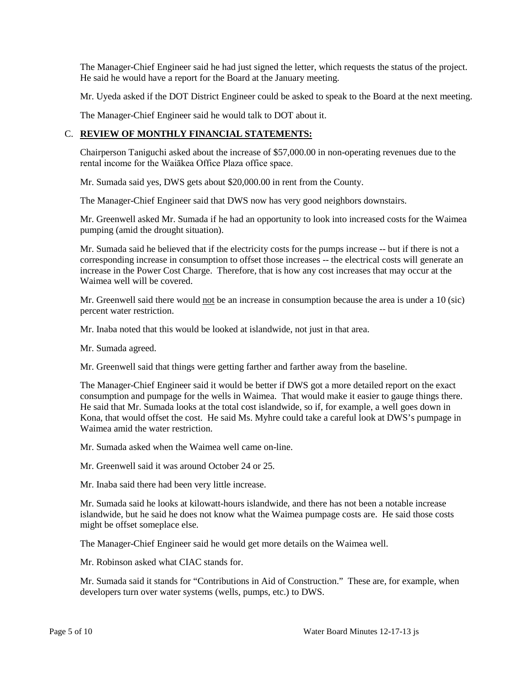The Manager-Chief Engineer said he had just signed the letter, which requests the status of the project. He said he would have a report for the Board at the January meeting.

Mr. Uyeda asked if the DOT District Engineer could be asked to speak to the Board at the next meeting.

The Manager-Chief Engineer said he would talk to DOT about it.

# C. **REVIEW OF MONTHLY FINANCIAL STATEMENTS:**

Chairperson Taniguchi asked about the increase of \$57,000.00 in non-operating revenues due to the rental income for the Waiākea Office Plaza office space.

Mr. Sumada said yes, DWS gets about \$20,000.00 in rent from the County.

The Manager-Chief Engineer said that DWS now has very good neighbors downstairs.

Mr. Greenwell asked Mr. Sumada if he had an opportunity to look into increased costs for the Waimea pumping (amid the drought situation).

Mr. Sumada said he believed that if the electricity costs for the pumps increase -- but if there is not a corresponding increase in consumption to offset those increases -- the electrical costs will generate an increase in the Power Cost Charge. Therefore, that is how any cost increases that may occur at the Waimea well will be covered.

Mr. Greenwell said there would not be an increase in consumption because the area is under a 10 (sic) percent water restriction.

Mr. Inaba noted that this would be looked at islandwide, not just in that area.

Mr. Sumada agreed.

Mr. Greenwell said that things were getting farther and farther away from the baseline.

The Manager-Chief Engineer said it would be better if DWS got a more detailed report on the exact consumption and pumpage for the wells in Waimea. That would make it easier to gauge things there. He said that Mr. Sumada looks at the total cost islandwide, so if, for example, a well goes down in Kona, that would offset the cost. He said Ms. Myhre could take a careful look at DWS's pumpage in Waimea amid the water restriction.

Mr. Sumada asked when the Waimea well came on-line.

Mr. Greenwell said it was around October 24 or 25.

Mr. Inaba said there had been very little increase.

Mr. Sumada said he looks at kilowatt-hours islandwide, and there has not been a notable increase islandwide, but he said he does not know what the Waimea pumpage costs are. He said those costs might be offset someplace else.

The Manager-Chief Engineer said he would get more details on the Waimea well.

Mr. Robinson asked what CIAC stands for.

Mr. Sumada said it stands for "Contributions in Aid of Construction." These are, for example, when developers turn over water systems (wells, pumps, etc.) to DWS.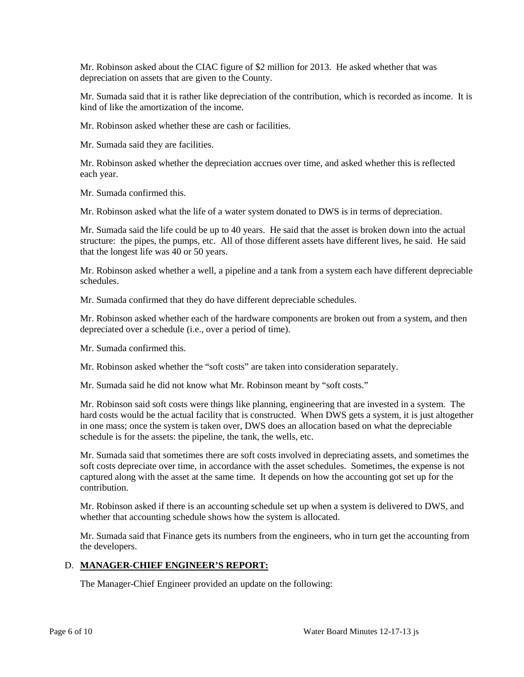Mr. Robinson asked about the CIAC figure of \$2 million for 2013. He asked whether that was depreciation on assets that are given to the County.

Mr. Sumada said that it is rather like depreciation of the contribution, which is recorded as income. It is kind of like the amortization of the income.

Mr. Robinson asked whether these are cash or facilities.

Mr. Sumada said they are facilities.

Mr. Robinson asked whether the depreciation accrues over time, and asked whether this is reflected each year.

Mr. Sumada confirmed this.

Mr. Robinson asked what the life of a water system donated to DWS is in terms of depreciation.

Mr. Sumada said the life could be up to 40 years. He said that the asset is broken down into the actual structure: the pipes, the pumps, etc. All of those different assets have different lives, he said. He said that the longest life was 40 or 50 years.

Mr. Robinson asked whether a well, a pipeline and a tank from a system each have different depreciable schedules.

Mr. Sumada confirmed that they do have different depreciable schedules.

Mr. Robinson asked whether each of the hardware components are broken out from a system, and then depreciated over a schedule (i.e., over a period of time).

Mr. Sumada confirmed this.

Mr. Robinson asked whether the "soft costs" are taken into consideration separately.

Mr. Sumada said he did not know what Mr. Robinson meant by "soft costs."

Mr. Robinson said soft costs were things like planning, engineering that are invested in a system. The hard costs would be the actual facility that is constructed. When DWS gets a system, it is just altogether in one mass; once the system is taken over, DWS does an allocation based on what the depreciable schedule is for the assets: the pipeline, the tank, the wells, etc.

Mr. Sumada said that sometimes there are soft costs involved in depreciating assets, and sometimes the soft costs depreciate over time, in accordance with the asset schedules. Sometimes, the expense is not captured along with the asset at the same time. It depends on how the accounting got set up for the contribution.

Mr. Robinson asked if there is an accounting schedule set up when a system is delivered to DWS, and whether that accounting schedule shows how the system is allocated.

Mr. Sumada said that Finance gets its numbers from the engineers, who in turn get the accounting from the developers.

## D. **MANAGER-CHIEF ENGINEER'S REPORT:**

The Manager-Chief Engineer provided an update on the following: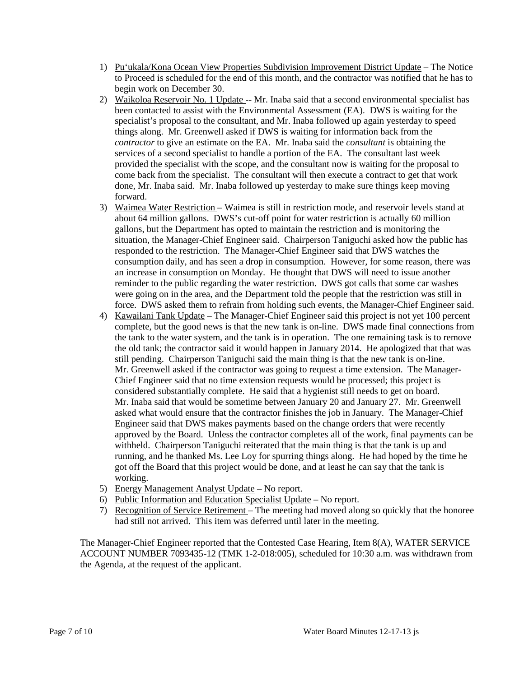- 1) Pu'ukala/Kona Ocean View Properties Subdivision Improvement District Update The Notice to Proceed is scheduled for the end of this month, and the contractor was notified that he has to begin work on December 30.
- 2) Waikoloa Reservoir No. 1 Update -- Mr. Inaba said that a second environmental specialist has been contacted to assist with the Environmental Assessment (EA). DWS is waiting for the specialist's proposal to the consultant, and Mr. Inaba followed up again yesterday to speed things along. Mr. Greenwell asked if DWS is waiting for information back from the *contractor* to give an estimate on the EA. Mr. Inaba said the *consultant* is obtaining the services of a second specialist to handle a portion of the EA. The consultant last week provided the specialist with the scope, and the consultant now is waiting for the proposal to come back from the specialist. The consultant will then execute a contract to get that work done, Mr. Inaba said. Mr. Inaba followed up yesterday to make sure things keep moving forward.
- 3) Waimea Water Restriction Waimea is still in restriction mode, and reservoir levels stand at about 64 million gallons. DWS's cut-off point for water restriction is actually 60 million gallons, but the Department has opted to maintain the restriction and is monitoring the situation, the Manager-Chief Engineer said. Chairperson Taniguchi asked how the public has responded to the restriction. The Manager-Chief Engineer said that DWS watches the consumption daily, and has seen a drop in consumption. However, for some reason, there was an increase in consumption on Monday. He thought that DWS will need to issue another reminder to the public regarding the water restriction. DWS got calls that some car washes were going on in the area, and the Department told the people that the restriction was still in force. DWS asked them to refrain from holding such events, the Manager-Chief Engineer said.
- 4) Kawailani Tank Update The Manager-Chief Engineer said this project is not yet 100 percent complete, but the good news is that the new tank is on-line. DWS made final connections from the tank to the water system, and the tank is in operation. The one remaining task is to remove the old tank; the contractor said it would happen in January 2014. He apologized that that was still pending. Chairperson Taniguchi said the main thing is that the new tank is on-line. Mr. Greenwell asked if the contractor was going to request a time extension. The Manager-Chief Engineer said that no time extension requests would be processed; this project is considered substantially complete. He said that a hygienist still needs to get on board. Mr. Inaba said that would be sometime between January 20 and January 27. Mr. Greenwell asked what would ensure that the contractor finishes the job in January. The Manager-Chief Engineer said that DWS makes payments based on the change orders that were recently approved by the Board. Unless the contractor completes all of the work, final payments can be withheld. Chairperson Taniguchi reiterated that the main thing is that the tank is up and running, and he thanked Ms. Lee Loy for spurring things along. He had hoped by the time he got off the Board that this project would be done, and at least he can say that the tank is working.
- 5) Energy Management Analyst Update No report.
- 6) Public Information and Education Specialist Update No report.
- 7) Recognition of Service Retirement The meeting had moved along so quickly that the honoree had still not arrived. This item was deferred until later in the meeting.

The Manager-Chief Engineer reported that the Contested Case Hearing, Item 8(A), WATER SERVICE ACCOUNT NUMBER 7093435-12 (TMK 1-2-018:005), scheduled for 10:30 a.m. was withdrawn from the Agenda, at the request of the applicant.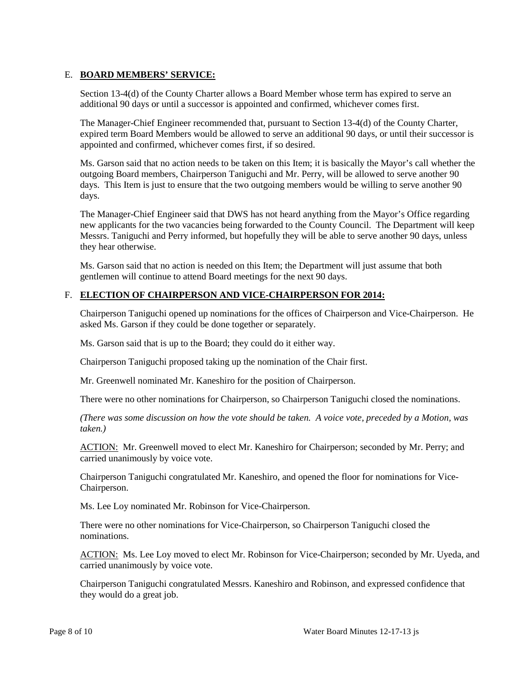## E. **BOARD MEMBERS' SERVICE:**

Section 13-4(d) of the County Charter allows a Board Member whose term has expired to serve an additional 90 days or until a successor is appointed and confirmed, whichever comes first.

The Manager-Chief Engineer recommended that, pursuant to Section 13-4(d) of the County Charter, expired term Board Members would be allowed to serve an additional 90 days, or until their successor is appointed and confirmed, whichever comes first, if so desired.

Ms. Garson said that no action needs to be taken on this Item; it is basically the Mayor's call whether the outgoing Board members, Chairperson Taniguchi and Mr. Perry, will be allowed to serve another 90 days. This Item is just to ensure that the two outgoing members would be willing to serve another 90 days.

The Manager-Chief Engineer said that DWS has not heard anything from the Mayor's Office regarding new applicants for the two vacancies being forwarded to the County Council. The Department will keep Messrs. Taniguchi and Perry informed, but hopefully they will be able to serve another 90 days, unless they hear otherwise.

Ms. Garson said that no action is needed on this Item; the Department will just assume that both gentlemen will continue to attend Board meetings for the next 90 days.

### F. **ELECTION OF CHAIRPERSON AND VICE-CHAIRPERSON FOR 2014:**

Chairperson Taniguchi opened up nominations for the offices of Chairperson and Vice-Chairperson. He asked Ms. Garson if they could be done together or separately.

Ms. Garson said that is up to the Board; they could do it either way.

Chairperson Taniguchi proposed taking up the nomination of the Chair first.

Mr. Greenwell nominated Mr. Kaneshiro for the position of Chairperson.

There were no other nominations for Chairperson, so Chairperson Taniguchi closed the nominations.

*(There was some discussion on how the vote should be taken. A voice vote, preceded by a Motion, was taken.)*

ACTION: Mr. Greenwell moved to elect Mr. Kaneshiro for Chairperson; seconded by Mr. Perry; and carried unanimously by voice vote.

Chairperson Taniguchi congratulated Mr. Kaneshiro, and opened the floor for nominations for Vice-Chairperson.

Ms. Lee Loy nominated Mr. Robinson for Vice-Chairperson.

There were no other nominations for Vice-Chairperson, so Chairperson Taniguchi closed the nominations.

ACTION: Ms. Lee Loy moved to elect Mr. Robinson for Vice-Chairperson; seconded by Mr. Uyeda, and carried unanimously by voice vote.

Chairperson Taniguchi congratulated Messrs. Kaneshiro and Robinson, and expressed confidence that they would do a great job.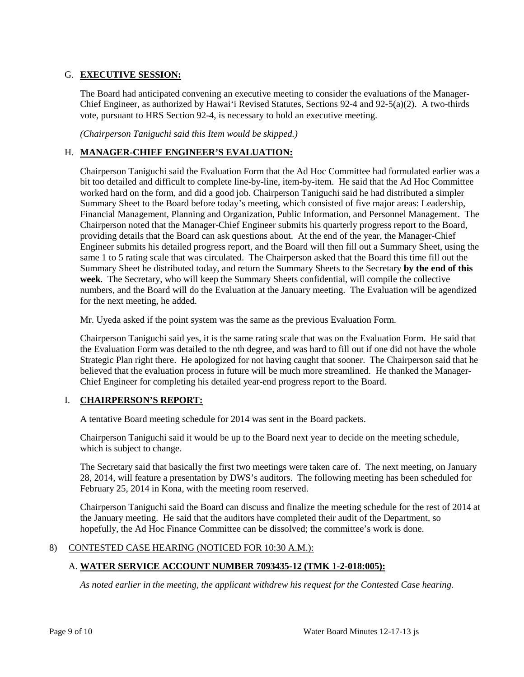# G. **EXECUTIVE SESSION:**

The Board had anticipated convening an executive meeting to consider the evaluations of the Manager-Chief Engineer, as authorized by Hawai'i Revised Statutes, Sections 92-4 and 92-5(a)(2). A two-thirds vote, pursuant to HRS Section 92-4, is necessary to hold an executive meeting.

*(Chairperson Taniguchi said this Item would be skipped.)*

# H. **MANAGER-CHIEF ENGINEER'S EVALUATION:**

Chairperson Taniguchi said the Evaluation Form that the Ad Hoc Committee had formulated earlier was a bit too detailed and difficult to complete line-by-line, item-by-item. He said that the Ad Hoc Committee worked hard on the form, and did a good job. Chairperson Taniguchi said he had distributed a simpler Summary Sheet to the Board before today's meeting, which consisted of five major areas: Leadership, Financial Management, Planning and Organization, Public Information, and Personnel Management. The Chairperson noted that the Manager-Chief Engineer submits his quarterly progress report to the Board, providing details that the Board can ask questions about. At the end of the year, the Manager-Chief Engineer submits his detailed progress report, and the Board will then fill out a Summary Sheet, using the same 1 to 5 rating scale that was circulated. The Chairperson asked that the Board this time fill out the Summary Sheet he distributed today, and return the Summary Sheets to the Secretary **by the end of this week**. The Secretary, who will keep the Summary Sheets confidential, will compile the collective numbers, and the Board will do the Evaluation at the January meeting. The Evaluation will be agendized for the next meeting, he added.

Mr. Uyeda asked if the point system was the same as the previous Evaluation Form.

Chairperson Taniguchi said yes, it is the same rating scale that was on the Evaluation Form. He said that the Evaluation Form was detailed to the nth degree, and was hard to fill out if one did not have the whole Strategic Plan right there. He apologized for not having caught that sooner. The Chairperson said that he believed that the evaluation process in future will be much more streamlined. He thanked the Manager-Chief Engineer for completing his detailed year-end progress report to the Board.

# I. **CHAIRPERSON'S REPORT:**

A tentative Board meeting schedule for 2014 was sent in the Board packets.

Chairperson Taniguchi said it would be up to the Board next year to decide on the meeting schedule, which is subject to change.

The Secretary said that basically the first two meetings were taken care of. The next meeting, on January 28, 2014, will feature a presentation by DWS's auditors. The following meeting has been scheduled for February 25, 2014 in Kona, with the meeting room reserved.

Chairperson Taniguchi said the Board can discuss and finalize the meeting schedule for the rest of 2014 at the January meeting. He said that the auditors have completed their audit of the Department, so hopefully, the Ad Hoc Finance Committee can be dissolved; the committee's work is done.

# 8) CONTESTED CASE HEARING (NOTICED FOR 10:30 A.M.):

# A. **WATER SERVICE ACCOUNT NUMBER 7093435-12 (TMK 1-2-018:005):**

*As noted earlier in the meeting, the applicant withdrew his request for the Contested Case hearing.*